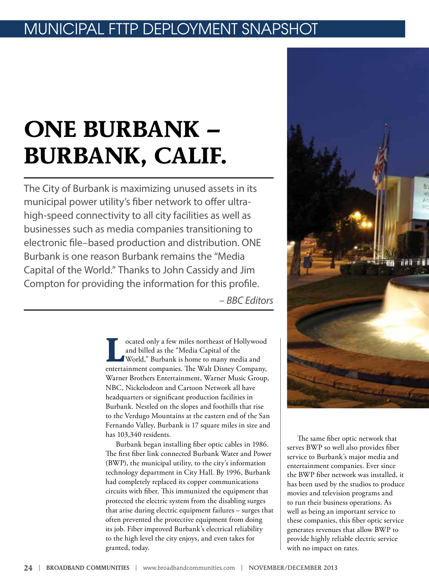### MUNICIPAL FTTP DEPLOYMENT SNAPSHO

# **ONE BURBANK – BURBANK, CALIF.**

The City of Burbank is maximizing unused assets in its municipal power utility's fiber network to offer ultrahigh-speed connectivity to all city facilities as well as businesses such as media companies transitioning to electronic file–based production and distribution. ONE Burbank is one reason Burbank remains the "Media Capital of the World." Thanks to John Cassidy and Jim Compton for providing the information for this profile.

*– BBC Editors*

**Located only a few miles northeast of Hollywood<br>
and billed as the "Media Capital of the<br>
World," Burbank is home to many media and<br>
antesiment companies The Web Diman Company** and billed as the "Media Capital of the entertainment companies. The Walt Disney Company, Warner Brothers Entertainment, Warner Music Group, NBC, Nickelodeon and Cartoon Network all have headquarters or significant production facilities in Burbank. Nestled on the slopes and foothills that rise to the Verdugo Mountains at the eastern end of the San Fernando Valley, Burbank is 17 square miles in size and has 103,340 residents.

Burbank began installing fiber optic cables in 1986. The first fiber link connected Burbank Water and Power (BWP), the municipal utility, to the city's information technology department in City Hall. By 1996, Burbank had completely replaced its copper communications circuits with fiber. This immunized the equipment that protected the electric system from the disabling surges that arise during electric equipment failures – surges that often prevented the protective equipment from doing its job. Fiber improved Burbank's electrical reliability to the high level the city enjoys, and even takes for granted, today.



The same fiber optic network that serves BWP so well also provides fiber service to Burbank's major media and entertainment companies. Ever since the BWP fiber network was installed, it has been used by the studios to produce movies and television programs and to run their business operations. As well as being an important service to these companies, this fiber optic service generates revenues that allow BWP to provide highly reliable electric service with no impact on rates.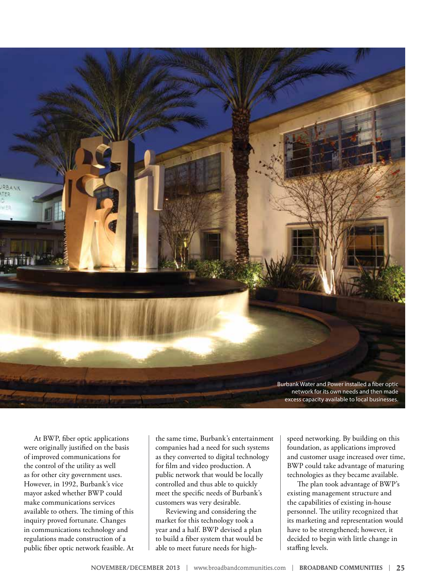

At BWP, fiber optic applications were originally justified on the basis of improved communications for the control of the utility as well as for other city government uses. However, in 1992, Burbank's vice mayor asked whether BWP could make communications services available to others. The timing of this inquiry proved fortunate. Changes in communications technology and regulations made construction of a public fiber optic network feasible. At

the same time, Burbank's entertainment companies had a need for such systems as they converted to digital technology for film and video production. A public network that would be locally controlled and thus able to quickly meet the specific needs of Burbank's customers was very desirable.

Reviewing and considering the market for this technology took a year and a half. BWP devised a plan to build a fiber system that would be able to meet future needs for highspeed networking. By building on this foundation, as applications improved and customer usage increased over time, BWP could take advantage of maturing technologies as they became available.

The plan took advantage of BWP's existing management structure and the capabilities of existing in-house personnel. The utility recognized that its marketing and representation would have to be strengthened; however, it decided to begin with little change in staffing levels.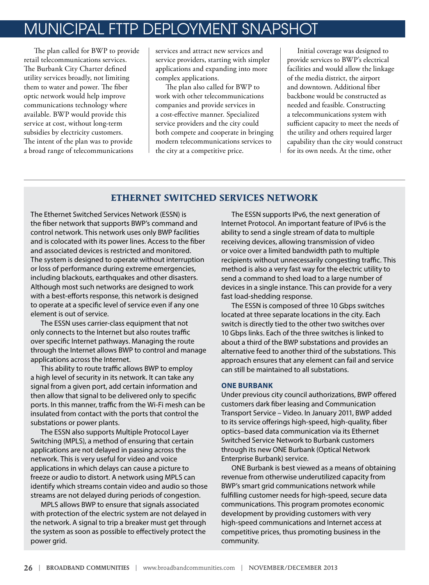## MUNICIPAL FTTP DEPLOYMENT SNAPSHOT

The plan called for BWP to provide retail telecommunications services. The Burbank City Charter defined utility services broadly, not limiting them to water and power. The fiber optic network would help improve communications technology where available. BWP would provide this service at cost, without long-term subsidies by electricity customers. The intent of the plan was to provide a broad range of telecommunications

services and attract new services and service providers, starting with simpler applications and expanding into more complex applications.

The plan also called for BWP to work with other telecommunications companies and provide services in a cost-effective manner. Specialized service providers and the city could both compete and cooperate in bringing modern telecommunications services to the city at a competitive price.

Initial coverage was designed to provide services to BWP's electrical facilities and would allow the linkage of the media district, the airport and downtown. Additional fiber backbone would be constructed as needed and feasible. Constructing a telecommunications system with sufficient capacity to meet the needs of the utility and others required larger capability than the city would construct for its own needs. At the time, other

### **ETHERNET SWITCHED SERVICES NETWORK**

The Ethernet Switched Services Network (ESSN) is the fiber network that supports BWP's command and control network. This network uses only BWP facilities and is colocated with its power lines. Access to the fiber and associated devices is restricted and monitored. The system is designed to operate without interruption or loss of performance during extreme emergencies, including blackouts, earthquakes and other disasters. Although most such networks are designed to work with a best-efforts response, this network is designed to operate at a specific level of service even if any one element is out of service.

The ESSN uses carrier-class equipment that not only connects to the Internet but also routes traffic over specific Internet pathways. Managing the route through the Internet allows BWP to control and manage applications across the Internet.

This ability to route traffic allows BWP to employ a high level of security in its network. It can take any signal from a given port, add certain information and then allow that signal to be delivered only to specific ports. In this manner, traffic from the Wi-Fi mesh can be insulated from contact with the ports that control the substations or power plants.

The ESSN also supports Multiple Protocol Layer Switching (MPLS), a method of ensuring that certain applications are not delayed in passing across the network. This is very useful for video and voice applications in which delays can cause a picture to freeze or audio to distort. A network using MPLS can identify which streams contain video and audio so those streams are not delayed during periods of congestion.

MPLS allows BWP to ensure that signals associated with protection of the electric system are not delayed in the network. A signal to trip a breaker must get through the system as soon as possible to effectively protect the power grid.

The ESSN supports IPv6, the next generation of Internet Protocol. An important feature of IPv6 is the ability to send a single stream of data to multiple receiving devices, allowing transmission of video or voice over a limited bandwidth path to multiple recipients without unnecessarily congesting traffic. This method is also a very fast way for the electric utility to send a command to shed load to a large number of devices in a single instance. This can provide for a very fast load-shedding response.

The ESSN is composed of three 10 Gbps switches located at three separate locations in the city. Each switch is directly tied to the other two switches over 10 Gbps links. Each of the three switches is linked to about a third of the BWP substations and provides an alternative feed to another third of the substations. This approach ensures that any element can fail and service can still be maintained to all substations.

### **ONE BURBANK**

Under previous city council authorizations, BWP offered customers dark fiber leasing and Communication Transport Service – Video. In January 2011, BWP added to its service offerings high-speed, high-quality, fiber optics–based data communication via its Ethernet Switched Service Network to Burbank customers through its new ONE Burbank (Optical Network Enterprise Burbank) service.

ONE Burbank is best viewed as a means of obtaining revenue from otherwise underutilized capacity from BWP's smart grid communications network while fulfilling customer needs for high-speed, secure data communications. This program promotes economic development by providing customers with very high-speed communications and Internet access at competitive prices, thus promoting business in the community.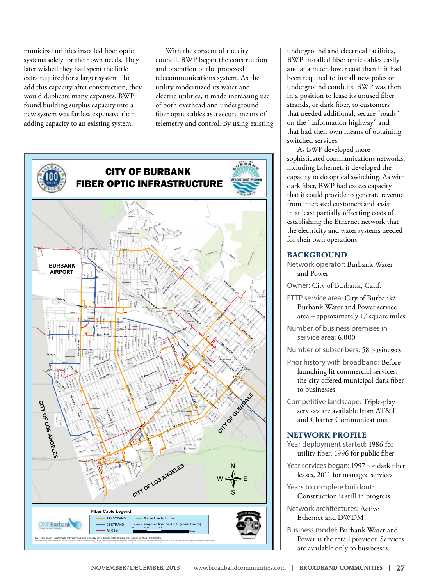municipal utilities installed fiber optic systems solely for their own needs. They later wished they had spent the little extra required for a larger system. To add this capacity after construction, they would duplicate many expenses. BWP found building surplus capacity into a new system was far less expensive than adding capacity to an existing system.

With the consent of the city council, BWP began the construction and operation of the proposed telecommunications system. As the utility modernized its water and electric utilities, it made increasing use of both overhead and underground fiber optic cables as a secure means of telemetry and control. By using existing



underground and electrical facilities, BWP installed fiber optic cables easily and at a much lower cost than if it had been required to install new poles or underground conduits. BWP was then in a position to lease its unused fiber strands, or dark fiber, to customers that needed additional, secure "roads" on the "information highway" and that had their own means of obtaining switched services.

As BWP developed more sophisticated communications networks, including Ethernet, it developed the capacity to do optical switching. As with dark fiber, BWP had excess capacity that it could provide to generate revenue from interested customers and assist in at least partially offsetting costs of establishing the Ethernet network that the electricity and water systems needed for their own operations.

### **BACKGROUND**

Network operator: Burbank Water and Power

Owner: City of Burbank, Calif.

- FTTP service area: City of Burbank/ Burbank Water and Power service area – approximately 17 square miles
- Number of business premises in service area: 6,000
- Number of subscribers: 58 businesses
- Prior history with broadband: Before launching lit commercial services, the city offered municipal dark fiber to businesses.
- Competitive landscape: Triple-play services are available from AT&T and Charter Communications.

### **NETWORK PROFILE**

- Year deployment started: 1986 for utility fiber, 1996 for public fiber
- Year services began: 1997 for dark fiber leases, 2011 for managed services

Years to complete buildout: Construction is still in progress.

Network architectures: Active Ethernet and DWDM

Business model: Burbank Water and Power is the retail provider. Services are available only to businesses.